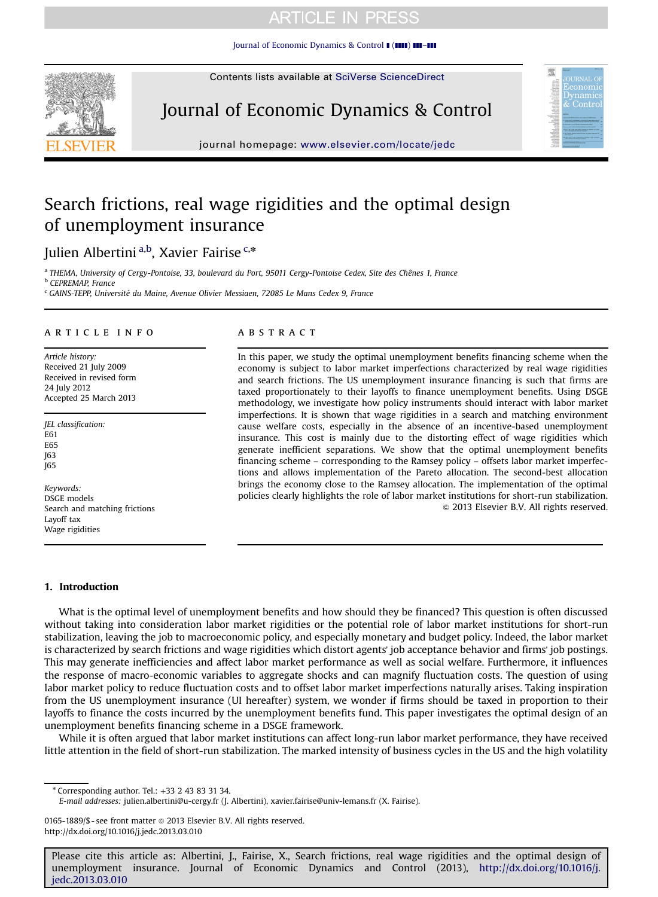### **ARTICLE IN PRESS**

[Journal of Economic Dynamics & Control](http://dx.doi.org/10.1016/j.jedc.2013.03.010)  $\blacksquare$  ( $\blacksquare\blacksquare$ )  $\blacksquare\blacksquare$ 

Contents lists available at [SciVerse ScienceDirect](www.elsevier.com/locate/jedc)



## Journal of Economic Dynamics & Control



journal homepage: <www.elsevier.com/locate/jedc>

## Search frictions, real wage rigidities and the optimal design of unemployment insurance

Julien Albertini <sup>a,b</sup>, Xavier Fairise <sup>c,</sup>\*

<sup>a</sup> THEMA, University of Cergy-Pontoise, 33, boulevard du Port, 95011 Cergy-Pontoise Cedex, Site des Chênes 1, France **b** CEPREMAP, France

<sup>c</sup> GAINS-TEPP, Université du Maine, Avenue Olivier Messiaen, 72085 Le Mans Cedex 9, France

#### article info

Article history: Received 21 July 2009 Received in revised form 24 July 2012 Accepted 25 March 2013

JEL classification: E61 E65 J63 J65

Keywords: DSGE models Search and matching frictions Layoff tax Wage rigidities

#### **ABSTRACT**

In this paper, we study the optimal unemployment benefits financing scheme when the economy is subject to labor market imperfections characterized by real wage rigidities and search frictions. The US unemployment insurance financing is such that firms are taxed proportionately to their layoffs to finance unemployment benefits. Using DSGE methodology, we investigate how policy instruments should interact with labor market imperfections. It is shown that wage rigidities in a search and matching environment cause welfare costs, especially in the absence of an incentive-based unemployment insurance. This cost is mainly due to the distorting effect of wage rigidities which generate inefficient separations. We show that the optimal unemployment benefits financing scheme – corresponding to the Ramsey policy – offsets labor market imperfections and allows implementation of the Pareto allocation. The second-best allocation brings the economy close to the Ramsey allocation. The implementation of the optimal policies clearly highlights the role of labor market institutions for short-run stabilization.  $\odot$  2013 Elsevier B.V. All rights reserved.

#### 1. Introduction

What is the optimal level of unemployment benefits and how should they be financed? This question is often discussed without taking into consideration labor market rigidities or the potential role of labor market institutions for short-run stabilization, leaving the job to macroeconomic policy, and especially monetary and budget policy. Indeed, the labor market is characterized by search frictions and wage rigidities which distort agents' job acceptance behavior and firms' job postings. This may generate inefficiencies and affect labor market performance as well as social welfare. Furthermore, it influences the response of macro-economic variables to aggregate shocks and can magnify fluctuation costs. The question of using labor market policy to reduce fluctuation costs and to offset labor market imperfections naturally arises. Taking inspiration from the US unemployment insurance (UI hereafter) system, we wonder if firms should be taxed in proportion to their layoffs to finance the costs incurred by the unemployment benefits fund. This paper investigates the optimal design of an unemployment benefits financing scheme in a DSGE framework.

While it is often argued that labor market institutions can affect long-run labor market performance, they have received little attention in the field of short-run stabilization. The marked intensity of business cycles in the US and the high volatility

\* Corresponding author. Tel.: +33 2 43 83 31 34.

Please cite this article as: Albertini, J., Fairise, X., Search frictions, real wage rigidities and the optimal design of unemployment insurance. Journal of Economic Dynamics and Control (2013), [http://dx.doi.org/10.1016/j.](http://dx.doi.org/10.1016/j.jedc.2013.03.010) iedc.2013.03.010

E-mail addresses: [julien.albertini@u-cergy.fr \(J. Albertini\)](mailto:julien.albertini@u-cergy.fr), [xavier.fairise@univ-lemans.fr \(X. Fairise\)](mailto:xavier.fairise@univ-lemans.fr).

<sup>0165-1889/\$ -</sup> see front matter @ 2013 Elsevier B.V. All rights reserved. <http://dx.doi.org/10.1016/j.jedc.2013.03.010>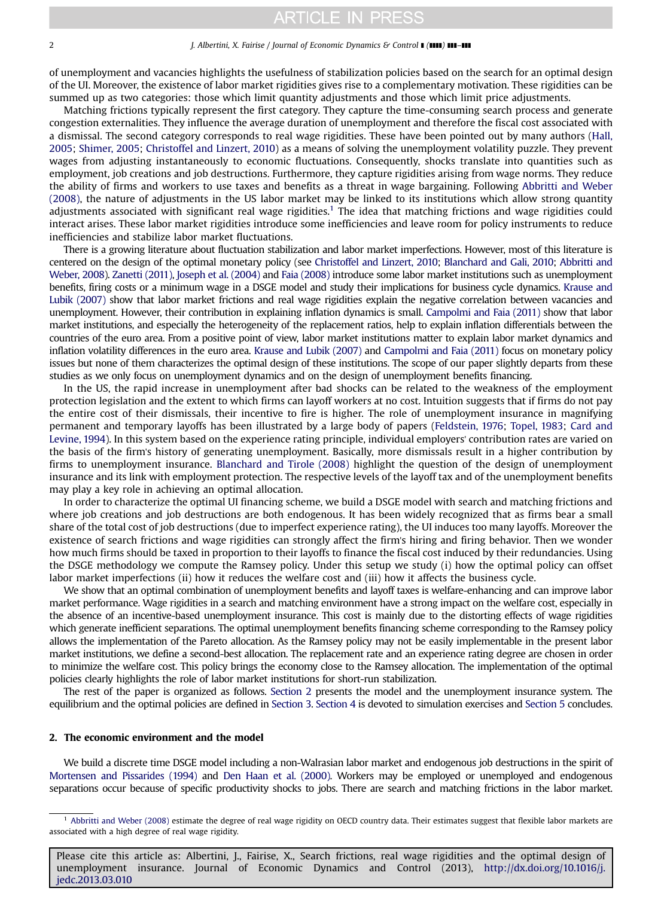### **ARTICLE IN PRESS**

#### 2 J. Albertini, X. Fairise / Journal of Economic Dynamics & Control **[[1111]**) **[111-111**]

of unemployment and vacancies highlights the usefulness of stabilization policies based on the search for an optimal design of the UI. Moreover, the existence of labor market rigidities gives rise to a complementary motivation. These rigidities can be summed up as two categories: those which limit quantity adjustments and those which limit price adjustments.

Matching frictions typically represent the first category. They capture the time-consuming search process and generate congestion externalities. They influence the average duration of unemployment and therefore the fiscal cost associated with a dismissal. The second category corresponds to real wage rigidities. These have been pointed out by many authors ([Hall,](#page--1-0) [2005](#page--1-0); [Shimer, 2005;](#page--1-0) [Christoffel and Linzert, 2010\)](#page--1-0) as a means of solving the unemployment volatility puzzle. They prevent wages from adjusting instantaneously to economic fluctuations. Consequently, shocks translate into quantities such as employment, job creations and job destructions. Furthermore, they capture rigidities arising from wage norms. They reduce the ability of firms and workers to use taxes and benefits as a threat in wage bargaining. Following [Abbritti and Weber](#page--1-0) [\(2008\)](#page--1-0), the nature of adjustments in the US labor market may be linked to its institutions which allow strong quantity adjustments associated with significant real wage rigidities.<sup>1</sup> The idea that matching frictions and wage rigidities could interact arises. These labor market rigidities introduce some inefficiencies and leave room for policy instruments to reduce inefficiencies and stabilize labor market fluctuations.

There is a growing literature about fluctuation stabilization and labor market imperfections. However, most of this literature is centered on the design of the optimal monetary policy (see [Christoffel and Linzert, 2010](#page--1-0); [Blanchard and Gali, 2010;](#page--1-0) [Abbritti and](#page--1-0) [Weber, 2008](#page--1-0)). [Zanetti \(2011\),](#page--1-0) [Joseph et al. \(2004\)](#page--1-0) and [Faia \(2008\)](#page--1-0) introduce some labor market institutions such as unemployment benefits, firing costs or a minimum wage in a DSGE model and study their implications for business cycle dynamics. [Krause and](#page--1-0) [Lubik \(2007\)](#page--1-0) show that labor market frictions and real wage rigidities explain the negative correlation between vacancies and unemployment. However, their contribution in explaining inflation dynamics is small. [Campolmi and Faia \(2011\)](#page--1-0) show that labor market institutions, and especially the heterogeneity of the replacement ratios, help to explain inflation differentials between the countries of the euro area. From a positive point of view, labor market institutions matter to explain labor market dynamics and inflation volatility differences in the euro area. [Krause and Lubik \(2007\)](#page--1-0) and [Campolmi and Faia \(2011\)](#page--1-0) focus on monetary policy issues but none of them characterizes the optimal design of these institutions. The scope of our paper slightly departs from these studies as we only focus on unemployment dynamics and on the design of unemployment benefits financing.

In the US, the rapid increase in unemployment after bad shocks can be related to the weakness of the employment protection legislation and the extent to which firms can layoff workers at no cost. Intuition suggests that if firms do not pay the entire cost of their dismissals, their incentive to fire is higher. The role of unemployment insurance in magnifying permanent and temporary layoffs has been illustrated by a large body of papers [\(Feldstein, 1976;](#page--1-0) [Topel, 1983](#page--1-0); [Card and](#page--1-0) [Levine, 1994](#page--1-0)). In this system based on the experience rating principle, individual employers' contribution rates are varied on the basis of the firm's history of generating unemployment. Basically, more dismissals result in a higher contribution by firms to unemployment insurance. [Blanchard and Tirole \(2008\)](#page--1-0) highlight the question of the design of unemployment insurance and its link with employment protection. The respective levels of the layoff tax and of the unemployment benefits may play a key role in achieving an optimal allocation.

In order to characterize the optimal UI financing scheme, we build a DSGE model with search and matching frictions and where job creations and job destructions are both endogenous. It has been widely recognized that as firms bear a small share of the total cost of job destructions (due to imperfect experience rating), the UI induces too many layoffs. Moreover the existence of search frictions and wage rigidities can strongly affect the firm's hiring and firing behavior. Then we wonder how much firms should be taxed in proportion to their layoffs to finance the fiscal cost induced by their redundancies. Using the DSGE methodology we compute the Ramsey policy. Under this setup we study (i) how the optimal policy can offset labor market imperfections (ii) how it reduces the welfare cost and (iii) how it affects the business cycle.

We show that an optimal combination of unemployment benefits and layoff taxes is welfare-enhancing and can improve labor market performance. Wage rigidities in a search and matching environment have a strong impact on the welfare cost, especially in the absence of an incentive-based unemployment insurance. This cost is mainly due to the distorting effects of wage rigidities which generate inefficient separations. The optimal unemployment benefits financing scheme corresponding to the Ramsey policy allows the implementation of the Pareto allocation. As the Ramsey policy may not be easily implementable in the present labor market institutions, we define a second-best allocation. The replacement rate and an experience rating degree are chosen in order to minimize the welfare cost. This policy brings the economy close to the Ramsey allocation. The implementation of the optimal policies clearly highlights the role of labor market institutions for short-run stabilization.

The rest of the paper is organized as follows. Section 2 presents the model and the unemployment insurance system. The equilibrium and the optimal policies are defined in [Section 3](#page--1-0). [Section 4](#page--1-0) is devoted to simulation exercises and [Section 5](#page--1-0) concludes.

#### 2. The economic environment and the model

We build a discrete time DSGE model including a non-Walrasian labor market and endogenous job destructions in the spirit of [Mortensen and Pissarides \(1994\)](#page--1-0) and [Den Haan et al. \(2000\)](#page--1-0). Workers may be employed or unemployed and endogenous separations occur because of specific productivity shocks to jobs. There are search and matching frictions in the labor market.

<sup>1</sup> [Abbritti and Weber \(2008\)](#page--1-0) estimate the degree of real wage rigidity on OECD country data. Their estimates suggest that flexible labor markets are associated with a high degree of real wage rigidity.

Please cite this article as: Albertini, J., Fairise, X., Search frictions, real wage rigidities and the optimal design of unemployment insurance. Journal of Economic Dynamics and Control (2013), [http://dx.doi.org/10.1016/j.](http://dx.doi.org/10.1016/j.jedc.2013.03.010) iedc.2013.03.010